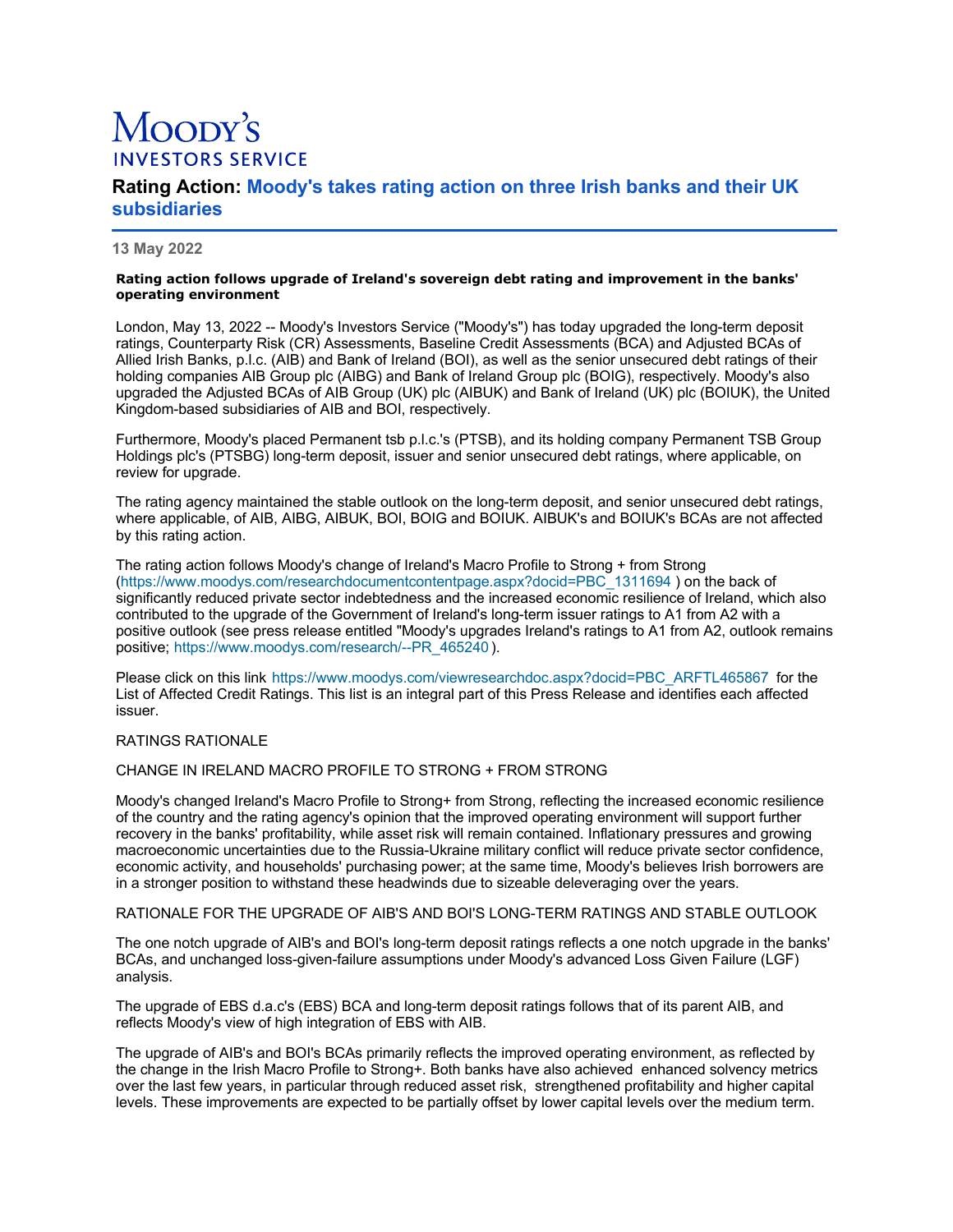# Moopy's **INVESTORS SERVICE**

# **Rating Action: Moody's takes rating action on three Irish banks and their UK subsidiaries**

# **13 May 2022**

#### **Rating action follows upgrade of Ireland's sovereign debt rating and improvement in the banks' operating environment**

London, May 13, 2022 -- Moody's Investors Service ("Moody's") has today upgraded the long-term deposit ratings, Counterparty Risk (CR) Assessments, Baseline Credit Assessments (BCA) and Adjusted BCAs of Allied Irish Banks, p.l.c. (AIB) and Bank of Ireland (BOI), as well as the senior unsecured debt ratings of their holding companies AIB Group plc (AIBG) and Bank of Ireland Group plc (BOIG), respectively. Moody's also upgraded the Adjusted BCAs of AIB Group (UK) plc (AIBUK) and Bank of Ireland (UK) plc (BOIUK), the United Kingdom-based subsidiaries of AIB and BOI, respectively.

Furthermore, Moody's placed Permanent tsb p.l.c.'s (PTSB), and its holding company Permanent TSB Group Holdings plc's (PTSBG) long-term deposit, issuer and senior unsecured debt ratings, where applicable, on review for upgrade.

The rating agency maintained the stable outlook on the long-term deposit, and senior unsecured debt ratings, where applicable, of AIB, AIBG, AIBUK, BOI, BOIG and BOIUK. AIBUK's and BOIUK's BCAs are not affected by this rating action.

The rating action follows Moody's change of Ireland's Macro Profile to Strong + from Strong [\(https://www.moodys.com/researchdocumentcontentpage.aspx?docid=PBC\\_1311694](https://www.moodys.com/researchdocumentcontentpage.aspx?docid=PBC_1311694) ) on the back of significantly reduced private sector indebtedness and the increased economic resilience of Ireland, which also contributed to the upgrade of the Government of Ireland's long-term issuer ratings to A1 from A2 with a positive outlook (see press release entitled "Moody's upgrades Ireland's ratings to A1 from A2, outlook remains positive; [https://www.moodys.com/research/--PR\\_465240](https://www.moodys.com/research/--PR_465240) ).

Please click on this link [https://www.moodys.com/viewresearchdoc.aspx?docid=PBC\\_ARFTL465867](https://www.moodys.com/viewresearchdoc.aspx?docid=PBC_ARFTL465867) for the List of Affected Credit Ratings. This list is an integral part of this Press Release and identifies each affected issuer.

# RATINGS RATIONALE

# CHANGE IN IRELAND MACRO PROFILE TO STRONG + FROM STRONG

Moody's changed Ireland's Macro Profile to Strong+ from Strong, reflecting the increased economic resilience of the country and the rating agency's opinion that the improved operating environment will support further recovery in the banks' profitability, while asset risk will remain contained. Inflationary pressures and growing macroeconomic uncertainties due to the Russia-Ukraine military conflict will reduce private sector confidence, economic activity, and households' purchasing power; at the same time, Moody's believes Irish borrowers are in a stronger position to withstand these headwinds due to sizeable deleveraging over the years.

RATIONALE FOR THE UPGRADE OF AIB'S AND BOI'S LONG-TERM RATINGS AND STABLE OUTLOOK

The one notch upgrade of AIB's and BOI's long-term deposit ratings reflects a one notch upgrade in the banks' BCAs, and unchanged loss-given-failure assumptions under Moody's advanced Loss Given Failure (LGF) analysis.

The upgrade of EBS d.a.c's (EBS) BCA and long-term deposit ratings follows that of its parent AIB, and reflects Moody's view of high integration of EBS with AIB.

The upgrade of AIB's and BOI's BCAs primarily reflects the improved operating environment, as reflected by the change in the Irish Macro Profile to Strong+. Both banks have also achieved enhanced solvency metrics over the last few years, in particular through reduced asset risk, strengthened profitability and higher capital levels. These improvements are expected to be partially offset by lower capital levels over the medium term.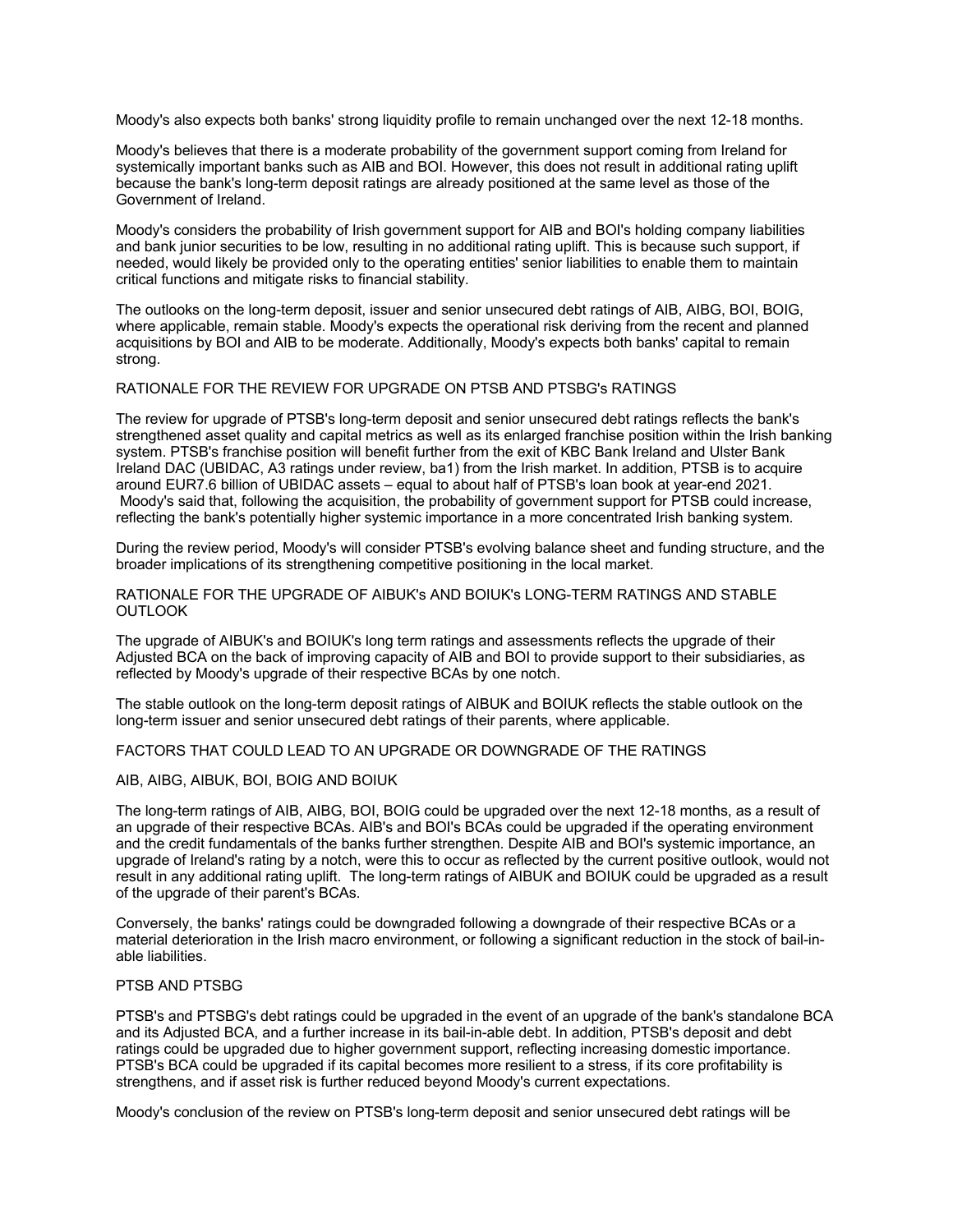Moody's also expects both banks' strong liquidity profile to remain unchanged over the next 12-18 months.

Moody's believes that there is a moderate probability of the government support coming from Ireland for systemically important banks such as AIB and BOI. However, this does not result in additional rating uplift because the bank's long-term deposit ratings are already positioned at the same level as those of the Government of Ireland.

Moody's considers the probability of Irish government support for AIB and BOI's holding company liabilities and bank junior securities to be low, resulting in no additional rating uplift. This is because such support, if needed, would likely be provided only to the operating entities' senior liabilities to enable them to maintain critical functions and mitigate risks to financial stability.

The outlooks on the long-term deposit, issuer and senior unsecured debt ratings of AIB, AIBG, BOI, BOIG, where applicable, remain stable. Moody's expects the operational risk deriving from the recent and planned acquisitions by BOI and AIB to be moderate. Additionally, Moody's expects both banks' capital to remain strong.

# RATIONALE FOR THE REVIEW FOR UPGRADE ON PTSB AND PTSBG's RATINGS

The review for upgrade of PTSB's long-term deposit and senior unsecured debt ratings reflects the bank's strengthened asset quality and capital metrics as well as its enlarged franchise position within the Irish banking system. PTSB's franchise position will benefit further from the exit of KBC Bank Ireland and Ulster Bank Ireland DAC (UBIDAC, A3 ratings under review, ba1) from the Irish market. In addition, PTSB is to acquire around EUR7.6 billion of UBIDAC assets – equal to about half of PTSB's loan book at year-end 2021. Moody's said that, following the acquisition, the probability of government support for PTSB could increase, reflecting the bank's potentially higher systemic importance in a more concentrated Irish banking system.

During the review period, Moody's will consider PTSB's evolving balance sheet and funding structure, and the broader implications of its strengthening competitive positioning in the local market.

#### RATIONALE FOR THE UPGRADE OF AIBUK's AND BOIUK's LONG-TERM RATINGS AND STABLE OUTLOOK

The upgrade of AIBUK's and BOIUK's long term ratings and assessments reflects the upgrade of their Adjusted BCA on the back of improving capacity of AIB and BOI to provide support to their subsidiaries, as reflected by Moody's upgrade of their respective BCAs by one notch.

The stable outlook on the long-term deposit ratings of AIBUK and BOIUK reflects the stable outlook on the long-term issuer and senior unsecured debt ratings of their parents, where applicable.

# FACTORS THAT COULD LEAD TO AN UPGRADE OR DOWNGRADE OF THE RATINGS

#### AIB, AIBG, AIBUK, BOI, BOIG AND BOIUK

The long-term ratings of AIB, AIBG, BOI, BOIG could be upgraded over the next 12-18 months, as a result of an upgrade of their respective BCAs. AIB's and BOI's BCAs could be upgraded if the operating environment and the credit fundamentals of the banks further strengthen. Despite AIB and BOI's systemic importance, an upgrade of Ireland's rating by a notch, were this to occur as reflected by the current positive outlook, would not result in any additional rating uplift. The long-term ratings of AIBUK and BOIUK could be upgraded as a result of the upgrade of their parent's BCAs.

Conversely, the banks' ratings could be downgraded following a downgrade of their respective BCAs or a material deterioration in the Irish macro environment, or following a significant reduction in the stock of bail-inable liabilities.

#### PTSB AND PTSBG

PTSB's and PTSBG's debt ratings could be upgraded in the event of an upgrade of the bank's standalone BCA and its Adjusted BCA, and a further increase in its bail-in-able debt. In addition, PTSB's deposit and debt ratings could be upgraded due to higher government support, reflecting increasing domestic importance. PTSB's BCA could be upgraded if its capital becomes more resilient to a stress, if its core profitability is strengthens, and if asset risk is further reduced beyond Moody's current expectations.

Moody's conclusion of the review on PTSB's long-term deposit and senior unsecured debt ratings will be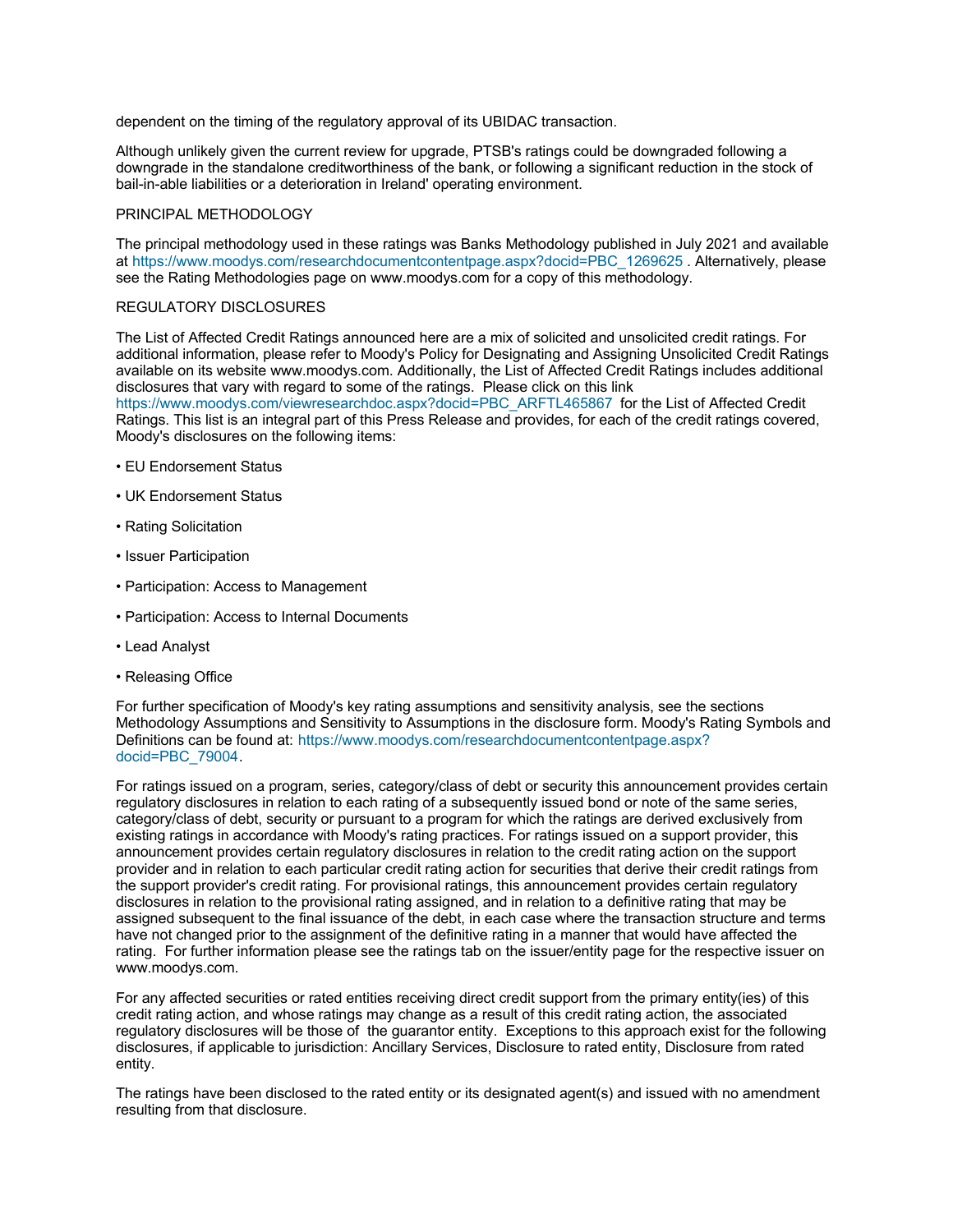dependent on the timing of the regulatory approval of its UBIDAC transaction.

Although unlikely given the current review for upgrade, PTSB's ratings could be downgraded following a downgrade in the standalone creditworthiness of the bank, or following a significant reduction in the stock of bail-in-able liabilities or a deterioration in Ireland' operating environment.

# PRINCIPAL METHODOLOGY

The principal methodology used in these ratings was Banks Methodology published in July 2021 and available at [https://www.moodys.com/researchdocumentcontentpage.aspx?docid=PBC\\_1269625](https://www.moodys.com/researchdocumentcontentpage.aspx?docid=PBC_1269625) . Alternatively, please see the Rating Methodologies page on www.moodys.com for a copy of this methodology.

# REGULATORY DISCLOSURES

The List of Affected Credit Ratings announced here are a mix of solicited and unsolicited credit ratings. For additional information, please refer to Moody's Policy for Designating and Assigning Unsolicited Credit Ratings available on its website www.moodys.com. Additionally, the List of Affected Credit Ratings includes additional disclosures that vary with regard to some of the ratings. Please click on this link [https://www.moodys.com/viewresearchdoc.aspx?docid=PBC\\_ARFTL465867](https://www.moodys.com/viewresearchdoc.aspx?docid=PBC_ARFTL465867) for the List of Affected Credit Ratings. This list is an integral part of this Press Release and provides, for each of the credit ratings covered,

Moody's disclosures on the following items:

- EU Endorsement Status
- UK Endorsement Status
- Rating Solicitation
- Issuer Participation
- Participation: Access to Management
- Participation: Access to Internal Documents
- Lead Analyst
- Releasing Office

For further specification of Moody's key rating assumptions and sensitivity analysis, see the sections Methodology Assumptions and Sensitivity to Assumptions in the disclosure form. Moody's Rating Symbols and [Definitions can be found at: https://www.moodys.com/researchdocumentcontentpage.aspx?](https://www.moodys.com/researchdocumentcontentpage.aspx?docid=PBC_79004) docid=PBC\_79004.

For ratings issued on a program, series, category/class of debt or security this announcement provides certain regulatory disclosures in relation to each rating of a subsequently issued bond or note of the same series, category/class of debt, security or pursuant to a program for which the ratings are derived exclusively from existing ratings in accordance with Moody's rating practices. For ratings issued on a support provider, this announcement provides certain regulatory disclosures in relation to the credit rating action on the support provider and in relation to each particular credit rating action for securities that derive their credit ratings from the support provider's credit rating. For provisional ratings, this announcement provides certain regulatory disclosures in relation to the provisional rating assigned, and in relation to a definitive rating that may be assigned subsequent to the final issuance of the debt, in each case where the transaction structure and terms have not changed prior to the assignment of the definitive rating in a manner that would have affected the rating. For further information please see the ratings tab on the issuer/entity page for the respective issuer on www.moodys.com.

For any affected securities or rated entities receiving direct credit support from the primary entity(ies) of this credit rating action, and whose ratings may change as a result of this credit rating action, the associated regulatory disclosures will be those of the guarantor entity. Exceptions to this approach exist for the following disclosures, if applicable to jurisdiction: Ancillary Services, Disclosure to rated entity, Disclosure from rated entity.

The ratings have been disclosed to the rated entity or its designated agent(s) and issued with no amendment resulting from that disclosure.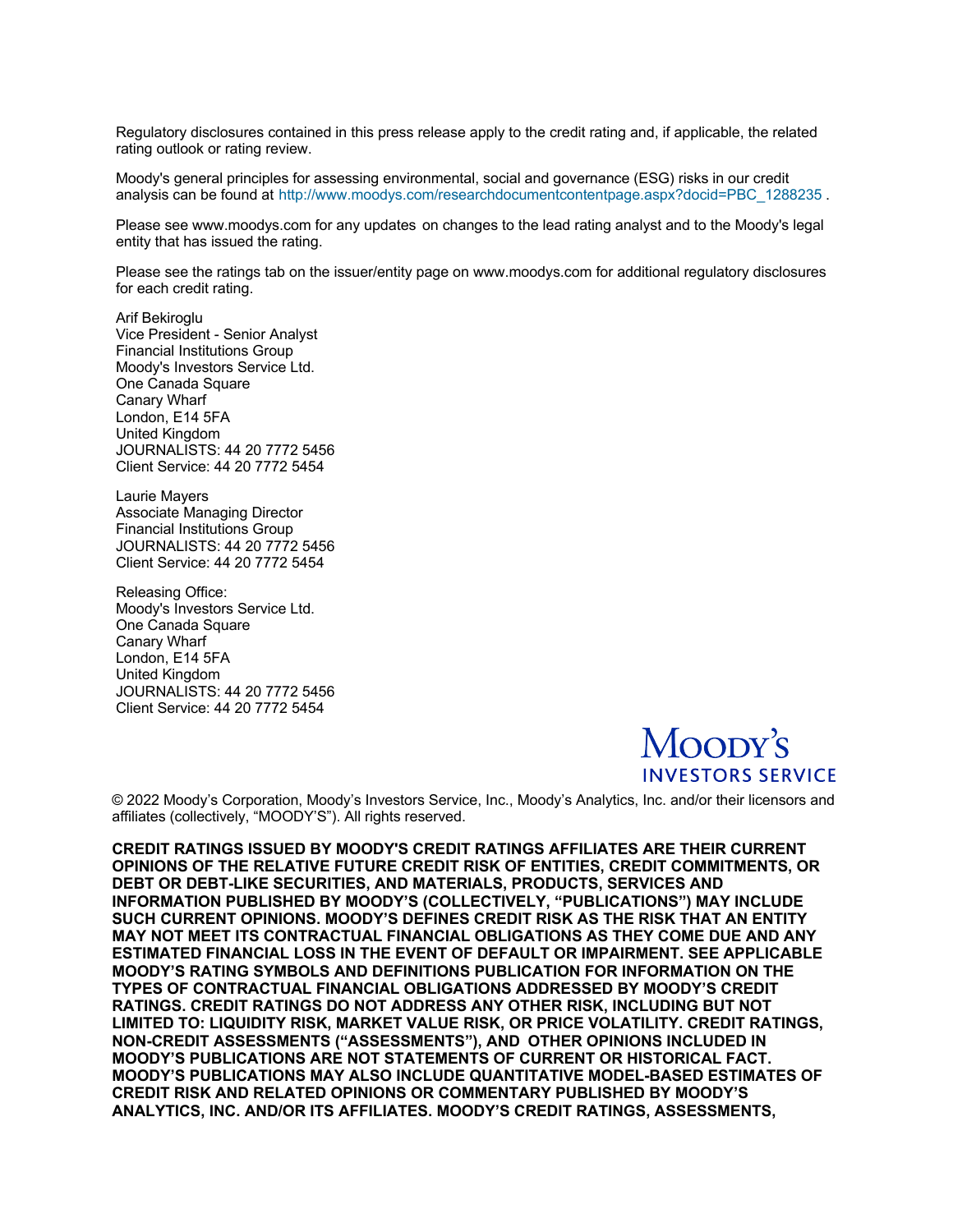Regulatory disclosures contained in this press release apply to the credit rating and, if applicable, the related rating outlook or rating review.

Moody's general principles for assessing environmental, social and governance (ESG) risks in our credit analysis can be found at [http://www.moodys.com/researchdocumentcontentpage.aspx?docid=PBC\\_1288235](http://www.moodys.com/researchdocumentcontentpage.aspx?docid=PBC_1288235).

Please see www.moodys.com for any updates on changes to the lead rating analyst and to the Moody's legal entity that has issued the rating.

Please see the ratings tab on the issuer/entity page on www.moodys.com for additional regulatory disclosures for each credit rating.

Arif Bekiroglu Vice President - Senior Analyst Financial Institutions Group Moody's Investors Service Ltd. One Canada Square Canary Wharf London, E14 5FA United Kingdom JOURNALISTS: 44 20 7772 5456 Client Service: 44 20 7772 5454

Laurie Mayers Associate Managing Director Financial Institutions Group JOURNALISTS: 44 20 7772 5456 Client Service: 44 20 7772 5454

Releasing Office: Moody's Investors Service Ltd. One Canada Square Canary Wharf London, E14 5FA United Kingdom JOURNALISTS: 44 20 7772 5456 Client Service: 44 20 7772 5454



© 2022 Moody's Corporation, Moody's Investors Service, Inc., Moody's Analytics, Inc. and/or their licensors and affiliates (collectively, "MOODY'S"). All rights reserved.

**CREDIT RATINGS ISSUED BY MOODY'S CREDIT RATINGS AFFILIATES ARE THEIR CURRENT OPINIONS OF THE RELATIVE FUTURE CREDIT RISK OF ENTITIES, CREDIT COMMITMENTS, OR DEBT OR DEBT-LIKE SECURITIES, AND MATERIALS, PRODUCTS, SERVICES AND INFORMATION PUBLISHED BY MOODY'S (COLLECTIVELY, "PUBLICATIONS") MAY INCLUDE SUCH CURRENT OPINIONS. MOODY'S DEFINES CREDIT RISK AS THE RISK THAT AN ENTITY MAY NOT MEET ITS CONTRACTUAL FINANCIAL OBLIGATIONS AS THEY COME DUE AND ANY ESTIMATED FINANCIAL LOSS IN THE EVENT OF DEFAULT OR IMPAIRMENT. SEE APPLICABLE MOODY'S RATING SYMBOLS AND DEFINITIONS PUBLICATION FOR INFORMATION ON THE TYPES OF CONTRACTUAL FINANCIAL OBLIGATIONS ADDRESSED BY MOODY'S CREDIT RATINGS. CREDIT RATINGS DO NOT ADDRESS ANY OTHER RISK, INCLUDING BUT NOT LIMITED TO: LIQUIDITY RISK, MARKET VALUE RISK, OR PRICE VOLATILITY. CREDIT RATINGS, NON-CREDIT ASSESSMENTS ("ASSESSMENTS"), AND OTHER OPINIONS INCLUDED IN MOODY'S PUBLICATIONS ARE NOT STATEMENTS OF CURRENT OR HISTORICAL FACT. MOODY'S PUBLICATIONS MAY ALSO INCLUDE QUANTITATIVE MODEL-BASED ESTIMATES OF CREDIT RISK AND RELATED OPINIONS OR COMMENTARY PUBLISHED BY MOODY'S ANALYTICS, INC. AND/OR ITS AFFILIATES. MOODY'S CREDIT RATINGS, ASSESSMENTS,**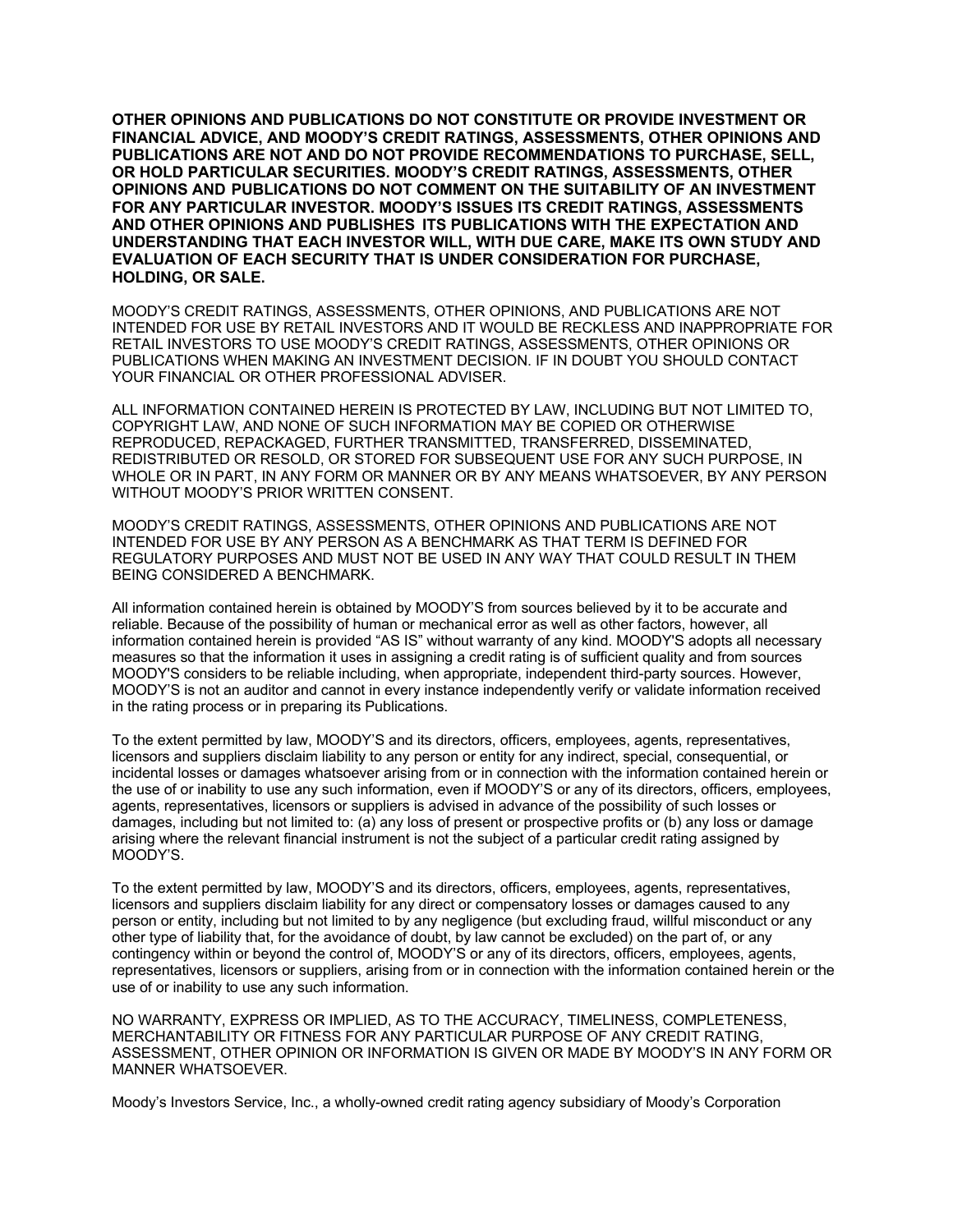**OTHER OPINIONS AND PUBLICATIONS DO NOT CONSTITUTE OR PROVIDE INVESTMENT OR FINANCIAL ADVICE, AND MOODY'S CREDIT RATINGS, ASSESSMENTS, OTHER OPINIONS AND PUBLICATIONS ARE NOT AND DO NOT PROVIDE RECOMMENDATIONS TO PURCHASE, SELL, OR HOLD PARTICULAR SECURITIES. MOODY'S CREDIT RATINGS, ASSESSMENTS, OTHER OPINIONS AND PUBLICATIONS DO NOT COMMENT ON THE SUITABILITY OF AN INVESTMENT FOR ANY PARTICULAR INVESTOR. MOODY'S ISSUES ITS CREDIT RATINGS, ASSESSMENTS AND OTHER OPINIONS AND PUBLISHES ITS PUBLICATIONS WITH THE EXPECTATION AND UNDERSTANDING THAT EACH INVESTOR WILL, WITH DUE CARE, MAKE ITS OWN STUDY AND EVALUATION OF EACH SECURITY THAT IS UNDER CONSIDERATION FOR PURCHASE, HOLDING, OR SALE.** 

MOODY'S CREDIT RATINGS, ASSESSMENTS, OTHER OPINIONS, AND PUBLICATIONS ARE NOT INTENDED FOR USE BY RETAIL INVESTORS AND IT WOULD BE RECKLESS AND INAPPROPRIATE FOR RETAIL INVESTORS TO USE MOODY'S CREDIT RATINGS, ASSESSMENTS, OTHER OPINIONS OR PUBLICATIONS WHEN MAKING AN INVESTMENT DECISION. IF IN DOUBT YOU SHOULD CONTACT YOUR FINANCIAL OR OTHER PROFESSIONAL ADVISER.

ALL INFORMATION CONTAINED HEREIN IS PROTECTED BY LAW, INCLUDING BUT NOT LIMITED TO, COPYRIGHT LAW, AND NONE OF SUCH INFORMATION MAY BE COPIED OR OTHERWISE REPRODUCED, REPACKAGED, FURTHER TRANSMITTED, TRANSFERRED, DISSEMINATED, REDISTRIBUTED OR RESOLD, OR STORED FOR SUBSEQUENT USE FOR ANY SUCH PURPOSE, IN WHOLE OR IN PART, IN ANY FORM OR MANNER OR BY ANY MEANS WHATSOEVER, BY ANY PERSON WITHOUT MOODY'S PRIOR WRITTEN CONSENT.

MOODY'S CREDIT RATINGS, ASSESSMENTS, OTHER OPINIONS AND PUBLICATIONS ARE NOT INTENDED FOR USE BY ANY PERSON AS A BENCHMARK AS THAT TERM IS DEFINED FOR REGULATORY PURPOSES AND MUST NOT BE USED IN ANY WAY THAT COULD RESULT IN THEM BEING CONSIDERED A BENCHMARK.

All information contained herein is obtained by MOODY'S from sources believed by it to be accurate and reliable. Because of the possibility of human or mechanical error as well as other factors, however, all information contained herein is provided "AS IS" without warranty of any kind. MOODY'S adopts all necessary measures so that the information it uses in assigning a credit rating is of sufficient quality and from sources MOODY'S considers to be reliable including, when appropriate, independent third-party sources. However, MOODY'S is not an auditor and cannot in every instance independently verify or validate information received in the rating process or in preparing its Publications.

To the extent permitted by law, MOODY'S and its directors, officers, employees, agents, representatives, licensors and suppliers disclaim liability to any person or entity for any indirect, special, consequential, or incidental losses or damages whatsoever arising from or in connection with the information contained herein or the use of or inability to use any such information, even if MOODY'S or any of its directors, officers, employees, agents, representatives, licensors or suppliers is advised in advance of the possibility of such losses or damages, including but not limited to: (a) any loss of present or prospective profits or (b) any loss or damage arising where the relevant financial instrument is not the subject of a particular credit rating assigned by MOODY'S.

To the extent permitted by law, MOODY'S and its directors, officers, employees, agents, representatives, licensors and suppliers disclaim liability for any direct or compensatory losses or damages caused to any person or entity, including but not limited to by any negligence (but excluding fraud, willful misconduct or any other type of liability that, for the avoidance of doubt, by law cannot be excluded) on the part of, or any contingency within or beyond the control of, MOODY'S or any of its directors, officers, employees, agents, representatives, licensors or suppliers, arising from or in connection with the information contained herein or the use of or inability to use any such information.

NO WARRANTY, EXPRESS OR IMPLIED, AS TO THE ACCURACY, TIMELINESS, COMPLETENESS, MERCHANTABILITY OR FITNESS FOR ANY PARTICULAR PURPOSE OF ANY CREDIT RATING, ASSESSMENT, OTHER OPINION OR INFORMATION IS GIVEN OR MADE BY MOODY'S IN ANY FORM OR MANNER WHATSOEVER.

Moody's Investors Service, Inc., a wholly-owned credit rating agency subsidiary of Moody's Corporation